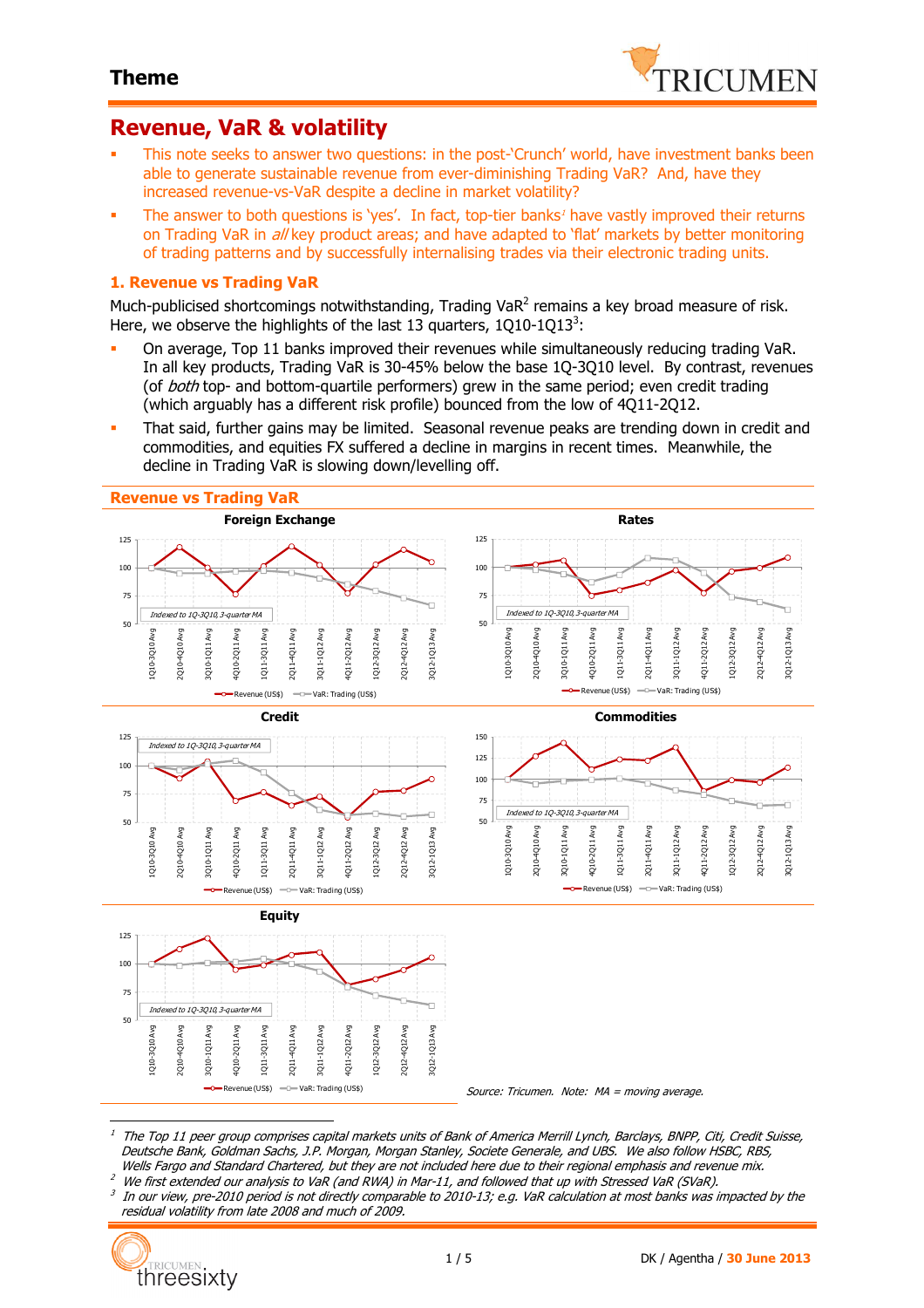

## **Revenue, VaR & volatility**

- This note seeks to answer two questions: in the post-'Crunch' world, have investment banks been able to generate sustainable revenue from ever-diminishing Trading VaR? And, have they increased revenue-vs-VaR despite a decline in market volatility?
- The answer to both questions is 'yes'. In fact, top-tier banks<sup>1</sup> have vastly improved their returns on Trading VaR in *all* key product areas; and have adapted to 'flat' markets by better monitoring of trading patterns and by successfully internalising trades via their electronic trading units.

#### **1. Revenue vs Trading VaR**

Much-publicised shortcomings notwithstanding, Trading Va $R^2$  remains a key broad measure of risk. Here, we observe the highlights of the last 13 quarters,  $1Q10-1Q13^3$ :

- On average, Top 11 banks improved their revenues while simultaneously reducing trading VaR. In all key products, Trading VaR is 30-45% below the base 1Q-3Q10 level. By contrast, revenues (of *both* top- and bottom-quartile performers) grew in the same period; even credit trading (which arguably has a different risk profile) bounced from the low of 4Q11-2Q12.
- That said, further gains may be limited. Seasonal revenue peaks are trending down in credit and commodities, and equities FX suffered a decline in margins in recent times. Meanwhile, the decline in Trading VaR is slowing down/levelling off.



1 The Top 11 peer group comprises capital markets units of Bank of America Merrill Lynch, Barclays, BNPP, Citi, Credit Suisse, Deutsche Bank, Goldman Sachs, J.P. Morgan, Morgan Stanley, Societe Generale, and UBS. We also follow HSBC, RBS, Wells Fargo and Standard Chartered, but they are not included here due to their regional emphasis and revenue mix.

- $^2$  We first extended our analysis to VaR (and RWA) in Mar-11, and followed that up with Stressed VaR (SVaR).
- 3 In our view, pre-2010 period is not directly comparable to 2010-13; e.g. VaR calculation at most banks was impacted by the residual volatility from late 2008 and much of 2009.

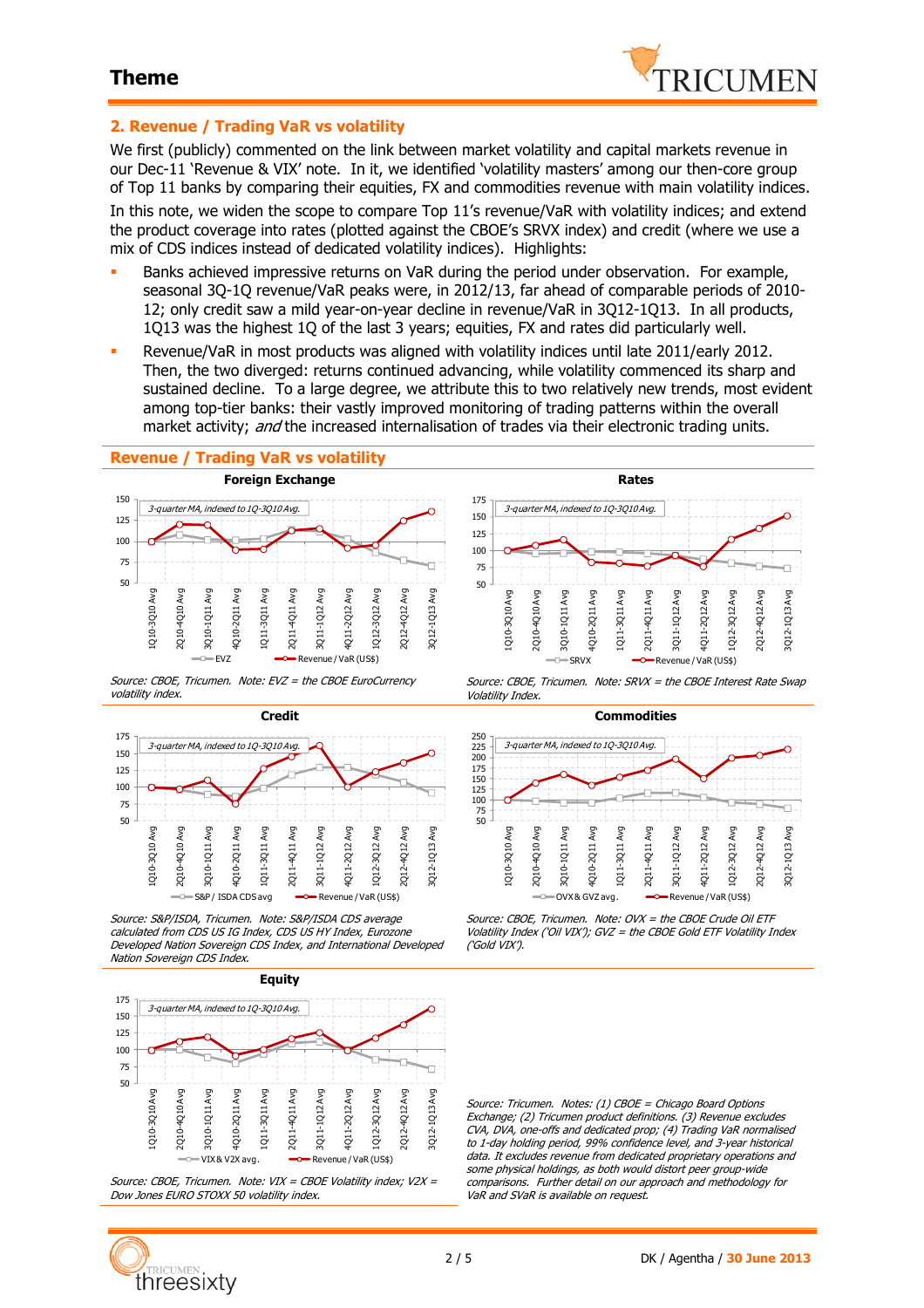

### **2. Revenue / Trading VaR vs volatility**

We first (publicly) commented on the link between market volatility and capital markets revenue in our Dec-11 'Revenue & VIX' note. In it, we identified 'volatility masters' among our then-core group of Top 11 banks by comparing their equities, FX and commodities revenue with main volatility indices.

In this note, we widen the scope to compare Top 11's revenue/VaR with volatility indices; and extend the product coverage into rates (plotted against the CBOE's SRVX index) and credit (where we use a mix of CDS indices instead of dedicated volatility indices). Highlights:

- Banks achieved impressive returns on VaR during the period under observation. For example, seasonal 3Q-1Q revenue/VaR peaks were, in 2012/13, far ahead of comparable periods of 2010- 12; only credit saw a mild year-on-year decline in revenue/VaR in 3Q12-1Q13. In all products, 1Q13 was the highest 1Q of the last 3 years; equities, FX and rates did particularly well.
- Revenue/VaR in most products was aligned with volatility indices until late 2011/early 2012. Then, the two diverged: returns continued advancing, while volatility commenced its sharp and sustained decline. To a large degree, we attribute this to two relatively new trends, most evident among top-tier banks: their vastly improved monitoring of trading patterns within the overall market activity; and the increased internalisation of trades via their electronic trading units.

#### **Revenue / Trading VaR vs volatility**



Source: CBOE, Tricumen. Note: EVZ = the CBOE EuroCurrency volatility index.



Source: S&P/ISDA, Tricumen. Note: S&P/ISDA CDS average calculated from CDS US IG Index, CDS US HY Index, Eurozone Developed Nation Sovereign CDS Index, and International Developed Nation Sovereign CDS Index.



Source: CBOE, Tricumen. Note: VIX = CBOE Volatility index; V2X = Dow Jones EURO STOXX 50 volatility index.



Source: CBOE, Tricumen. Note: SRVX = the CBOE Interest Rate Swap Volatility Index.



Source: CBOE, Tricumen. Note: OVX = the CBOE Crude Oil ETF Volatility Index ('Oil VIX'); GVZ = the CBOE Gold ETF Volatility Index ('Gold VIX').

Source: Tricumen. Notes: (1) CBOE = Chicago Board Options Exchange; (2) Tricumen product definitions. (3) Revenue excludes CVA, DVA, one-offs and dedicated prop; (4) Trading VaR normalised to 1-day holding period, 99% confidence level, and 3-year historical data. It excludes revenue from dedicated proprietary operations and some physical holdings, as both would distort peer group-wide comparisons. Further detail on our approach and methodology for VaR and SVaR is available on request.

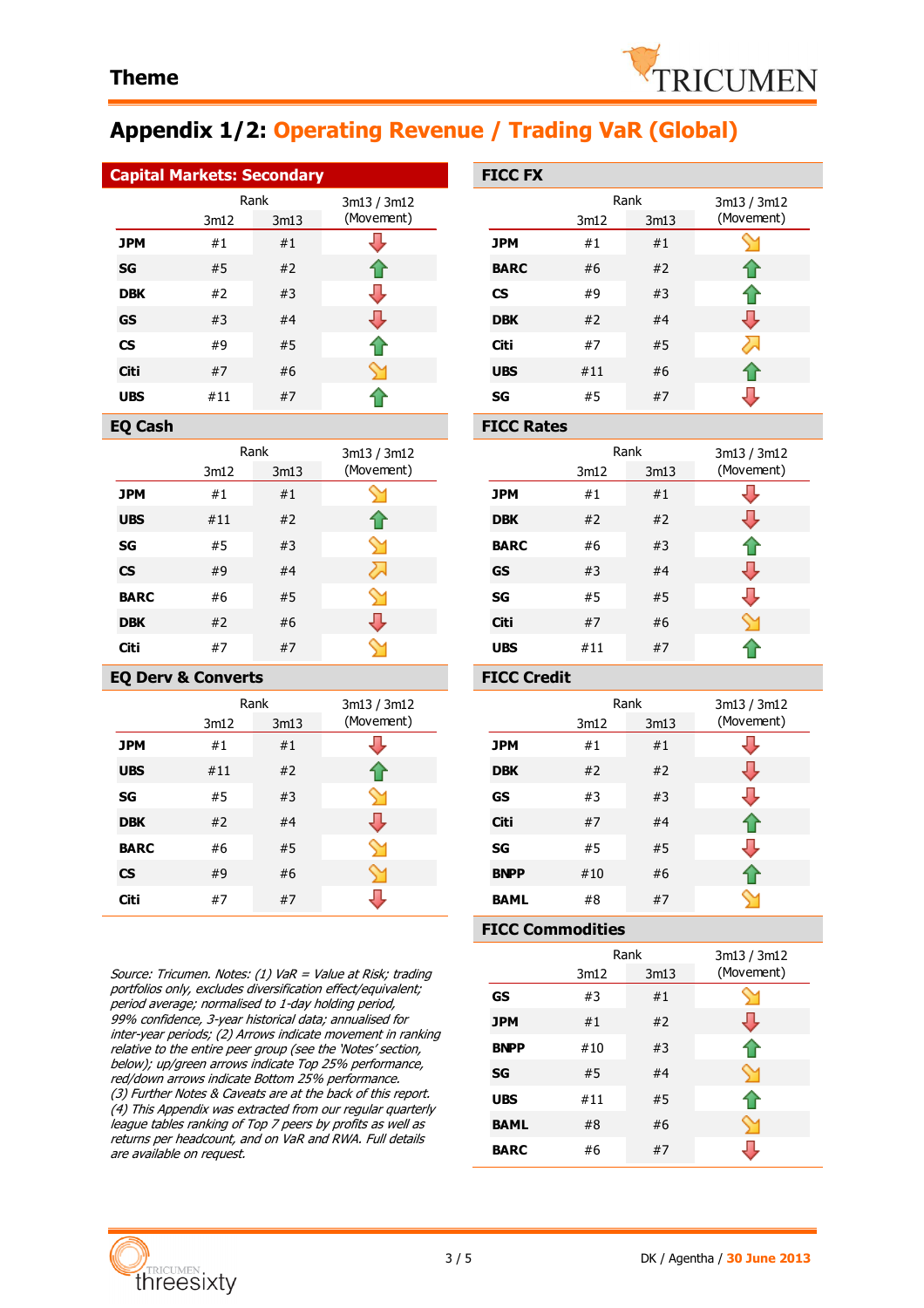

# **Appendix 1/2: Operating Revenue / Trading VaR (Global)**

| <b>Capital Markets: Secondary</b> | <b>FICC FX</b> |                |             |             |
|-----------------------------------|----------------|----------------|-------------|-------------|
|                                   |                | Rank           | 3m13 / 3m12 |             |
|                                   | 3m12           | 3m13           | (Movement)  |             |
| <b>JPM</b>                        | #1             | #1             |             | <b>JPM</b>  |
| <b>SG</b>                         | #5             | #2             |             | <b>BARC</b> |
| <b>BB</b>                         | <b>11 J</b>    | $\overline{u}$ |             | ~~          |

| ---                      | $\cdots$ |    | . . |
|--------------------------|----------|----|-----|
| <b>DBK</b>               | #2       | #3 |     |
| <b>GS</b>                | #3       | #4 |     |
| $\mathsf{CS}\phantom{0}$ | #9       | #5 |     |
| Citi                     | #7       | #6 |     |
| <b>UBS</b>               | #11      | #7 |     |

| EO Cash |
|---------|

|             |      | Rank | 3m13 / 3m12 |
|-------------|------|------|-------------|
|             | 3m12 | 3m13 | (Movement)  |
| <b>JPM</b>  | #1   | #1   |             |
| <b>UBS</b>  | #11  | #2   |             |
| SG          | #5   | #3   |             |
| <b>CS</b>   | #9   | #4   | ╱∼          |
| <b>BARC</b> | #6   | #5   | ∾           |
| <b>DBK</b>  | #2   | #6   |             |
| Citi        | #7   | #7   |             |

### **EQ Derv & Converts FICC Credit**

|             |      | Rank | 3m13 / 3m12 |
|-------------|------|------|-------------|
|             | 3m12 | 3m13 | (Movement)  |
| <b>JPM</b>  | #1   | #1   |             |
| <b>UBS</b>  | #11  | #2   |             |
| SG          | #5   | #3   |             |
| <b>DBK</b>  | #2   | #4   |             |
| <b>BARC</b> | #6   | #5   |             |
| <b>CS</b>   | #9   | #6   |             |
| Citi        | #7   | #7   |             |

Source: Tricumen. Notes: (1) VaR = Value at Risk; trading portfolios only, excludes diversification effect/equivalent; period average; normalised to 1-day holding period, 99% confidence, 3-year historical data; annualised for inter-year periods; (2) Arrows indicate movement in ranking relative to the entire peer group (see the 'Notes' section, below); up/green arrows indicate Top 25% performance, red/down arrows indicate Bottom 25% performance. (3) Further Notes & Caveats are at the back of this report. (4) This Appendix was extracted from our regular quarterly league tables ranking of Top 7 peers by profits as well as returns per headcount, and on VaR and RWA. Full details are available on request.

|                           | <b>FICC FX</b> |                      |    |                           |  |
|---------------------------|----------------|----------------------|----|---------------------------|--|
| 3m13 / 3m12<br>(Movement) |                | Rank<br>3m12<br>3m13 |    | 3m13 / 3m12<br>(Movement) |  |
|                           | <b>JPM</b>     | #1                   | #1 |                           |  |
|                           | <b>BARC</b>    | #6                   | #2 |                           |  |
|                           | <b>CS</b>      | #9                   | #3 |                           |  |
|                           | <b>DBK</b>     | #2                   | #4 |                           |  |
|                           | Citi           | #7                   | #5 |                           |  |
|                           | <b>UBS</b>     | #11                  | #6 |                           |  |
|                           | SG             | #5                   | #7 |                           |  |

#### **FICC Rates**

| 3m13 / 3m12<br>(Movement) |             | 3m12 | Rank<br>3m13 | 3m13 / 3m12<br>(Movement) |
|---------------------------|-------------|------|--------------|---------------------------|
|                           | <b>JPM</b>  | #1   | #1           |                           |
| $\bigcap$                 | <b>DBK</b>  | #2   | #2           |                           |
|                           | <b>BARC</b> | #6   | #3           |                           |
| 2.                        | <b>GS</b>   | #3   | #4           |                           |
|                           | SG          | #5   | #5           |                           |
|                           | <b>Citi</b> | #7   | #6           |                           |
|                           | <b>UBS</b>  | #11  | #7           |                           |

| 3m13 / 3m12<br>(Movement) |             | 3m12 | Rank<br>3m13 | 3m13 / 3m12<br>(Movement) |
|---------------------------|-------------|------|--------------|---------------------------|
|                           | <b>JPM</b>  | #1   | #1           |                           |
| ⇑                         | <b>DBK</b>  | #2   | #2           |                           |
|                           | <b>GS</b>   | #3   | #3           |                           |
|                           | Citi        | #7   | #4           |                           |
|                           | SG          | #5   | #5           |                           |
|                           | <b>BNPP</b> | #10  | #6           |                           |
|                           | <b>BAML</b> | #8   | #7           |                           |

#### **FICC Commodities**

|             | Rank<br>3m13<br>3m12 |    | 3m13 / 3m12<br>(Movement) |
|-------------|----------------------|----|---------------------------|
| GS          | #3                   | #1 |                           |
| <b>JPM</b>  | #1                   | #2 |                           |
| <b>BNPP</b> | #10                  | #3 |                           |
| SG          | #5                   | #4 |                           |
| <b>UBS</b>  | #11                  | #5 |                           |
| <b>BAML</b> | #8                   | #6 |                           |
| <b>BARC</b> | #6                   | #7 |                           |

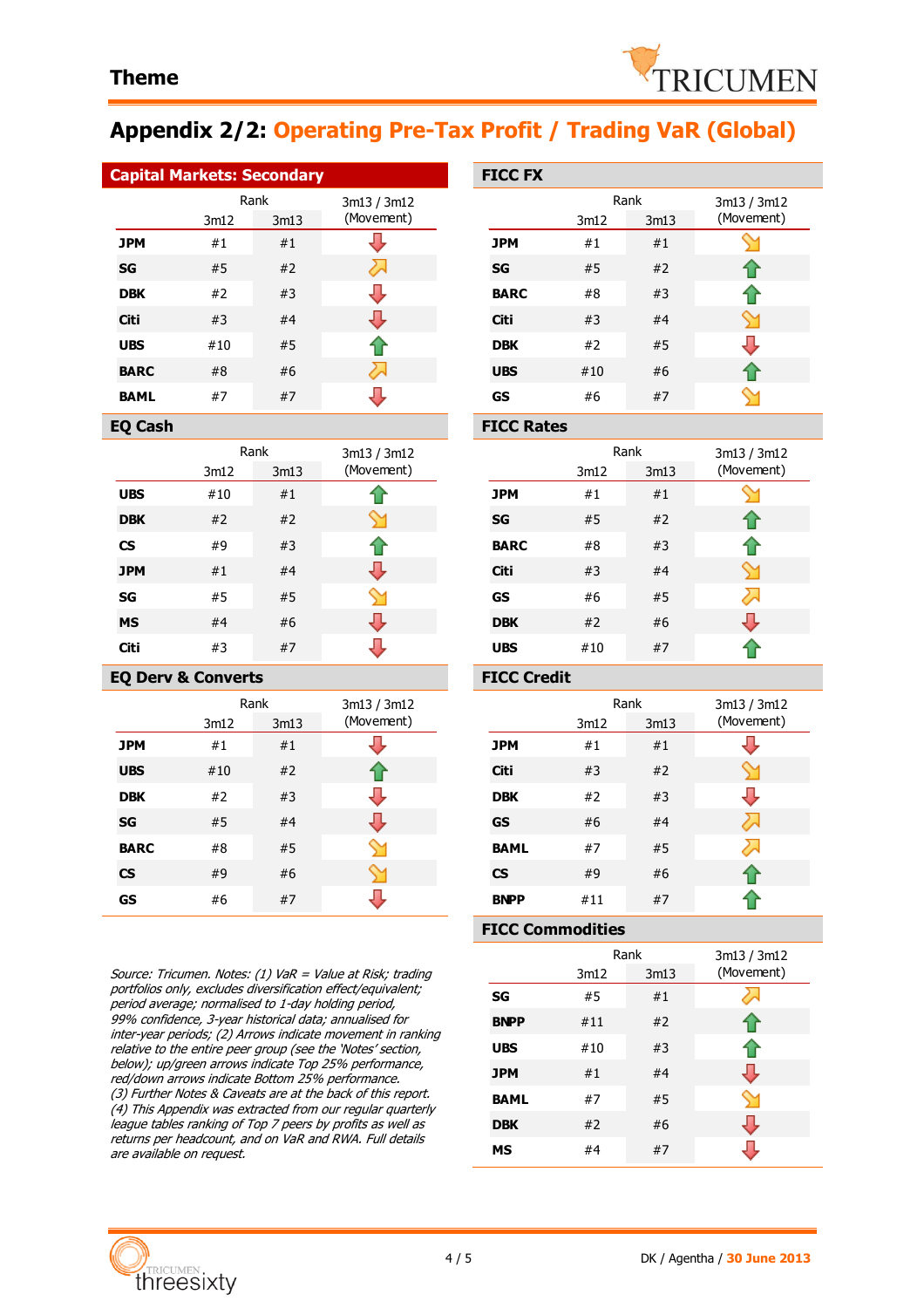

# **Appendix 2/2: Operating Pre-Tax Profit / Trading VaR (Global)**

| <b>Capital Markets: Secondary</b> | <b>FICC FX</b> |  |
|-----------------------------------|----------------|--|
| Rank                              | 3m13 / 3m12    |  |

|             |      |      | 311277     |
|-------------|------|------|------------|
|             | 3m12 | 3m13 | (Movement) |
| <b>JPM</b>  | #1   | #1   |            |
| SG          | #5   | #2   |            |
| <b>DBK</b>  | #2   | #3   |            |
| Citi        | #3   | #4   |            |
| <b>UBS</b>  | #10  | #5   | ങ          |
| <b>BARC</b> | #8   | #6   |            |
| <b>BAML</b> | #7   | #7   |            |

|            | Rank |      | 3m13 / 3m12 |
|------------|------|------|-------------|
|            | 3m12 | 3m13 | (Movement)  |
| <b>UBS</b> | #10  | #1   |             |
| <b>DBK</b> | #2   | #2   |             |
| <b>CS</b>  | #9   | #3   |             |
| <b>JPM</b> | #1   | #4   |             |
| SG         | #5   | #5   |             |
| <b>MS</b>  | #4   | #6   |             |
| Citi       | #3   | #7   |             |

### **EQ Derv & Converts FICC Credit**

|             | Rank |      | 3m13 / 3m12 |
|-------------|------|------|-------------|
|             | 3m12 | 3m13 | (Movement)  |
| <b>JPM</b>  | #1   | #1   |             |
| <b>UBS</b>  | #10  | #2   |             |
| <b>DBK</b>  | #2   | #3   |             |
| <b>SG</b>   | #5   | #4   |             |
| <b>BARC</b> | #8   | #5   |             |
| <b>CS</b>   | #9   | #6   |             |
| GS          | #6   | #7   |             |

Source: Tricumen. Notes: (1) VaR = Value at Risk; trading portfolios only, excludes diversification effect/equivalent; period average; normalised to 1-day holding period, 99% confidence, 3-year historical data; annualised for inter-year periods; (2) Arrows indicate movement in ranking relative to the entire peer group (see the 'Notes' section, below); up/green arrows indicate Top 25% performance, red/down arrows indicate Bottom 25% performance. (3) Further Notes & Caveats are at the back of this report. (4) This Appendix was extracted from our regular quarterly league tables ranking of Top 7 peers by profits as well as returns per headcount, and on VaR and RWA. Full details are available on request.

|             | <b>FICC FX</b> |      |      |             |
|-------------|----------------|------|------|-------------|
| 3m13 / 3m12 |                | Rank |      | 3m13 / 3m12 |
| (Movement)  |                | 3m12 | 3m13 | (Movement)  |
|             | <b>JPM</b>     | #1   | #1   |             |
|             | <b>SG</b>      | #5   | #2   |             |
|             | <b>BARC</b>    | #8   | #3   |             |
|             | <b>Citi</b>    | #3   | #4   |             |
|             | <b>DBK</b>     | #2   | #5   |             |
| 2.          | <b>UBS</b>     | #10  | #6   |             |
|             | GS             | #6   | #7   |             |

#### **EQ Cash FICC Rates**

| 3m13 / 3m12<br>(Movement) |             | 3m12 | Rank<br>3m13 | 3m13 / 3m12<br>(Movement) |
|---------------------------|-------------|------|--------------|---------------------------|
|                           | <b>JPM</b>  | #1   | #1           |                           |
|                           | SG          | #5   | #2           |                           |
|                           | <b>BARC</b> | #8   | #3           |                           |
|                           | Citi        | #3   | #4           |                           |
|                           | GS          | #6   | #5           |                           |
|                           | <b>DBK</b>  | #2   | #6           |                           |
|                           | <b>UBS</b>  | #10  | #7           |                           |

| 3m13 / 3m12<br>(Movement) |                          | 3m12 | Rank<br>3m13 | 3m13 / 3m12<br>(Movement) |
|---------------------------|--------------------------|------|--------------|---------------------------|
|                           | <b>JPM</b>               | #1   | #1           |                           |
| ⇑                         | <b>Citi</b>              | #3   | #2           |                           |
|                           | <b>DBK</b>               | #2   | #3           |                           |
|                           | <b>GS</b>                | #6   | #4           |                           |
|                           | <b>BAML</b>              | #7   | #5           |                           |
|                           | $\mathsf{CS}\phantom{0}$ | #9   | #6           |                           |
|                           | <b>BNPP</b>              | #11  | #7           |                           |

#### **FICC Commodities**

|             | Rank<br>3m13<br>3m12 |    | 3m13 / 3m12<br>(Movement) |  |
|-------------|----------------------|----|---------------------------|--|
| SG          | #5                   | #1 |                           |  |
| <b>BNPP</b> | #11                  | #2 |                           |  |
| <b>UBS</b>  | #10                  | #3 |                           |  |
| <b>JPM</b>  | #1                   | #4 |                           |  |
| <b>BAML</b> | #7                   | #5 |                           |  |
| <b>DBK</b>  | #2                   | #6 |                           |  |
| <b>MS</b>   | #4                   | #7 |                           |  |